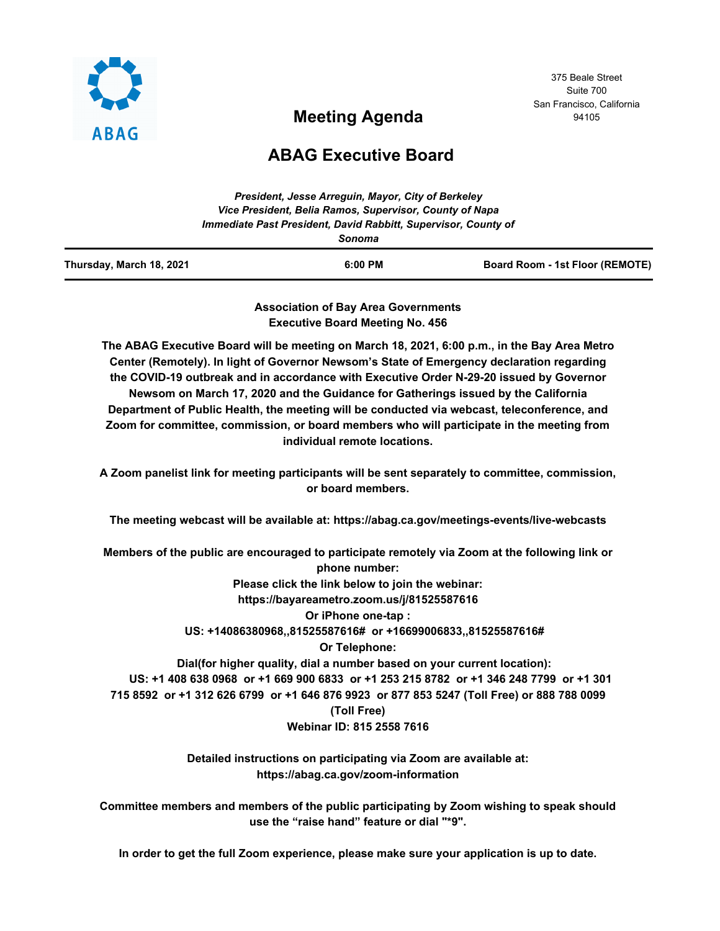

**Meeting Agenda**

375 Beale Street Suite 700 San Francisco, California 94105

# **ABAG Executive Board**

| Thursday, March 18, 2021 | $6:00$ PM                                                                | Board Room - 1st Floor (REMOTE) |
|--------------------------|--------------------------------------------------------------------------|---------------------------------|
|                          | Immediate Past President, David Rabbitt, Supervisor, County of<br>Sonoma |                                 |
|                          | Vice President, Belia Ramos, Supervisor, County of Napa                  |                                 |
|                          | President, Jesse Arrequin, Mayor, City of Berkeley                       |                                 |

**Association of Bay Area Governments Executive Board Meeting No. 456**

**The ABAG Executive Board will be meeting on March 18, 2021, 6:00 p.m., in the Bay Area Metro Center (Remotely). In light of Governor Newsom's State of Emergency declaration regarding the COVID-19 outbreak and in accordance with Executive Order N-29-20 issued by Governor Newsom on March 17, 2020 and the Guidance for Gatherings issued by the California Department of Public Health, the meeting will be conducted via webcast, teleconference, and Zoom for committee, commission, or board members who will participate in the meeting from individual remote locations.**

**A Zoom panelist link for meeting participants will be sent separately to committee, commission, or board members.**

**The meeting webcast will be available at: https://abag.ca.gov/meetings-events/live-webcasts**

**Members of the public are encouraged to participate remotely via Zoom at the following link or phone number: Please click the link below to join the webinar: https://bayareametro.zoom.us/j/81525587616 Or iPhone one-tap : US: +14086380968,,81525587616# or +16699006833,,81525587616# Or Telephone: Dial(for higher quality, dial a number based on your current location): US: +1 408 638 0968 or +1 669 900 6833 or +1 253 215 8782 or +1 346 248 7799 or +1 301 715 8592 or +1 312 626 6799 or +1 646 876 9923 or 877 853 5247 (Toll Free) or 888 788 0099 (Toll Free) Webinar ID: 815 2558 7616**

> **Detailed instructions on participating via Zoom are available at: https://abag.ca.gov/zoom-information**

**Committee members and members of the public participating by Zoom wishing to speak should use the "raise hand" feature or dial "\*9".**

**In order to get the full Zoom experience, please make sure your application is up to date.**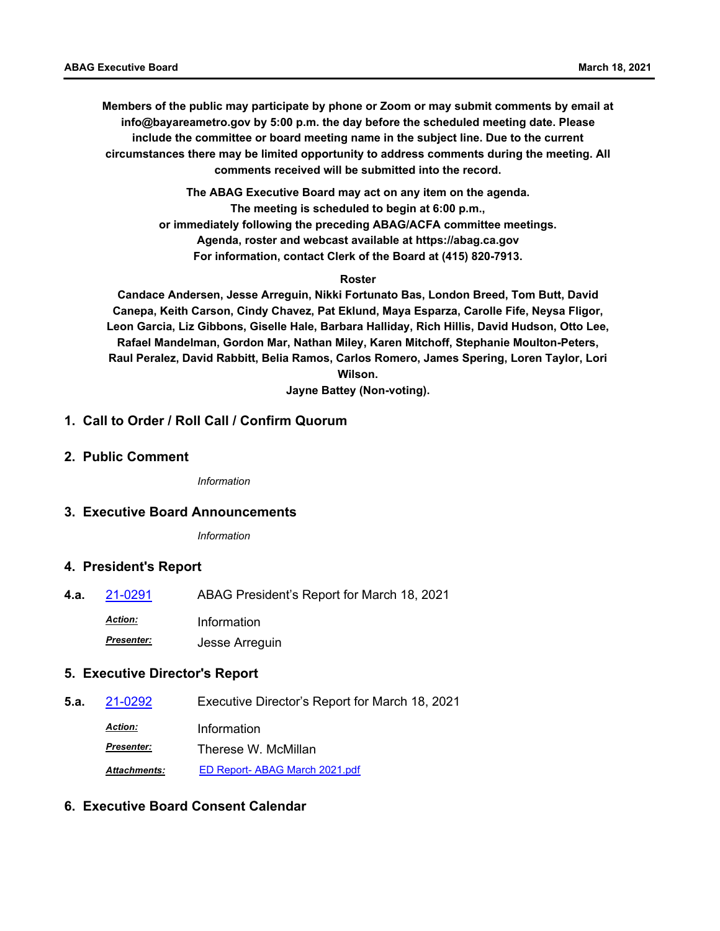**Members of the public may participate by phone or Zoom or may submit comments by email at info@bayareametro.gov by 5:00 p.m. the day before the scheduled meeting date. Please include the committee or board meeting name in the subject line. Due to the current circumstances there may be limited opportunity to address comments during the meeting. All comments received will be submitted into the record.**

> **The ABAG Executive Board may act on any item on the agenda. The meeting is scheduled to begin at 6:00 p.m., or immediately following the preceding ABAG/ACFA committee meetings. Agenda, roster and webcast available at https://abag.ca.gov For information, contact Clerk of the Board at (415) 820-7913.**

#### **Roster**

**Candace Andersen, Jesse Arreguin, Nikki Fortunato Bas, London Breed, Tom Butt, David Canepa, Keith Carson, Cindy Chavez, Pat Eklund, Maya Esparza, Carolle Fife, Neysa Fligor, Leon Garcia, Liz Gibbons, Giselle Hale, Barbara Halliday, Rich Hillis, David Hudson, Otto Lee, Rafael Mandelman, Gordon Mar, Nathan Miley, Karen Mitchoff, Stephanie Moulton-Peters, Raul Peralez, David Rabbitt, Belia Ramos, Carlos Romero, James Spering, Loren Taylor, Lori Wilson.**

**Jayne Battey (Non-voting).**

# **1. Call to Order / Roll Call / Confirm Quorum**

**2. Public Comment**

*Information*

### **3. Executive Board Announcements**

*Information*

### **4. President's Report**

**4.a.** [21-0291](http://mtc.legistar.com/gateway.aspx?m=l&id=/matter.aspx?key=21884) ABAG President's Report for March 18, 2021

*Action:* Information

*Presenter:* Jesse Arreguin

### **5. Executive Director's Report**

**5.a.** [21-0292](http://mtc.legistar.com/gateway.aspx?m=l&id=/matter.aspx?key=21885) Executive Director's Report for March 18, 2021 *Action:* Information *Presenter:* Therese W. McMillan *Attachments:* [ED Report- ABAG March 2021.pdf](http://mtc.legistar.com/gateway.aspx?M=F&ID=64356270-c45c-4f36-8c9b-8773a264ffcb.pdf)

## **6. Executive Board Consent Calendar**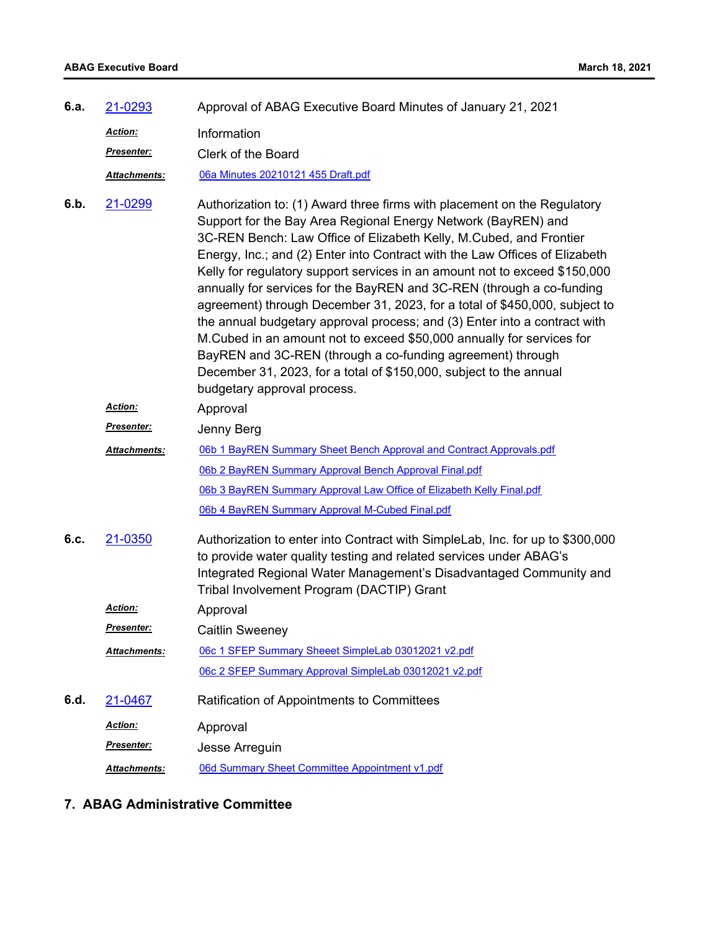| 6.a. | 21-0293             | Approval of ABAG Executive Board Minutes of January 21, 2021                                                                                                                                                                                                                                                                                                                                                                                                                                                                                                                                                                                                                                                                                                                                                                                                 |
|------|---------------------|--------------------------------------------------------------------------------------------------------------------------------------------------------------------------------------------------------------------------------------------------------------------------------------------------------------------------------------------------------------------------------------------------------------------------------------------------------------------------------------------------------------------------------------------------------------------------------------------------------------------------------------------------------------------------------------------------------------------------------------------------------------------------------------------------------------------------------------------------------------|
|      | Action:             | Information                                                                                                                                                                                                                                                                                                                                                                                                                                                                                                                                                                                                                                                                                                                                                                                                                                                  |
|      | Presenter:          | Clerk of the Board                                                                                                                                                                                                                                                                                                                                                                                                                                                                                                                                                                                                                                                                                                                                                                                                                                           |
|      | Attachments:        | 06a Minutes 20210121 455 Draft.pdf                                                                                                                                                                                                                                                                                                                                                                                                                                                                                                                                                                                                                                                                                                                                                                                                                           |
| 6.b. | 21-0299             | Authorization to: (1) Award three firms with placement on the Regulatory<br>Support for the Bay Area Regional Energy Network (BayREN) and<br>3C-REN Bench: Law Office of Elizabeth Kelly, M.Cubed, and Frontier<br>Energy, Inc.; and (2) Enter into Contract with the Law Offices of Elizabeth<br>Kelly for regulatory support services in an amount not to exceed \$150,000<br>annually for services for the BayREN and 3C-REN (through a co-funding<br>agreement) through December 31, 2023, for a total of \$450,000, subject to<br>the annual budgetary approval process; and (3) Enter into a contract with<br>M.Cubed in an amount not to exceed \$50,000 annually for services for<br>BayREN and 3C-REN (through a co-funding agreement) through<br>December 31, 2023, for a total of \$150,000, subject to the annual<br>budgetary approval process. |
|      | Action:             | Approval                                                                                                                                                                                                                                                                                                                                                                                                                                                                                                                                                                                                                                                                                                                                                                                                                                                     |
|      | Presenter:          | Jenny Berg                                                                                                                                                                                                                                                                                                                                                                                                                                                                                                                                                                                                                                                                                                                                                                                                                                                   |
|      | Attachments:        | 06b 1 BayREN Summary Sheet Bench Approval and Contract Approvals.pdf                                                                                                                                                                                                                                                                                                                                                                                                                                                                                                                                                                                                                                                                                                                                                                                         |
|      |                     | 06b 2 BayREN Summary Approval Bench Approval Final.pdf                                                                                                                                                                                                                                                                                                                                                                                                                                                                                                                                                                                                                                                                                                                                                                                                       |
|      |                     | 06b 3 BayREN Summary Approval Law Office of Elizabeth Kelly Final.pdf                                                                                                                                                                                                                                                                                                                                                                                                                                                                                                                                                                                                                                                                                                                                                                                        |
|      |                     | 06b 4 BayREN Summary Approval M-Cubed Final.pdf                                                                                                                                                                                                                                                                                                                                                                                                                                                                                                                                                                                                                                                                                                                                                                                                              |
| 6.c. | 21-0350             | Authorization to enter into Contract with SimpleLab, Inc. for up to \$300,000<br>to provide water quality testing and related services under ABAG's<br>Integrated Regional Water Management's Disadvantaged Community and<br>Tribal Involvement Program (DACTIP) Grant                                                                                                                                                                                                                                                                                                                                                                                                                                                                                                                                                                                       |
|      | <u>Action:</u>      | Approval                                                                                                                                                                                                                                                                                                                                                                                                                                                                                                                                                                                                                                                                                                                                                                                                                                                     |
|      | Presenter:          | <b>Caitlin Sweeney</b>                                                                                                                                                                                                                                                                                                                                                                                                                                                                                                                                                                                                                                                                                                                                                                                                                                       |
|      | Attachments:        | 06c 1 SFEP Summary Sheeet SimpleLab 03012021 v2.pdf                                                                                                                                                                                                                                                                                                                                                                                                                                                                                                                                                                                                                                                                                                                                                                                                          |
|      |                     | 06c 2 SFEP Summary Approval SimpleLab 03012021 v2.pdf                                                                                                                                                                                                                                                                                                                                                                                                                                                                                                                                                                                                                                                                                                                                                                                                        |
| 6.d. | 21-0467             | Ratification of Appointments to Committees                                                                                                                                                                                                                                                                                                                                                                                                                                                                                                                                                                                                                                                                                                                                                                                                                   |
|      | <b>Action:</b>      | Approval                                                                                                                                                                                                                                                                                                                                                                                                                                                                                                                                                                                                                                                                                                                                                                                                                                                     |
|      | Presenter:          | Jesse Arreguin                                                                                                                                                                                                                                                                                                                                                                                                                                                                                                                                                                                                                                                                                                                                                                                                                                               |
|      | <b>Attachments:</b> | 06d Summary Sheet Committee Appointment v1.pdf                                                                                                                                                                                                                                                                                                                                                                                                                                                                                                                                                                                                                                                                                                                                                                                                               |

# **7. ABAG Administrative Committee**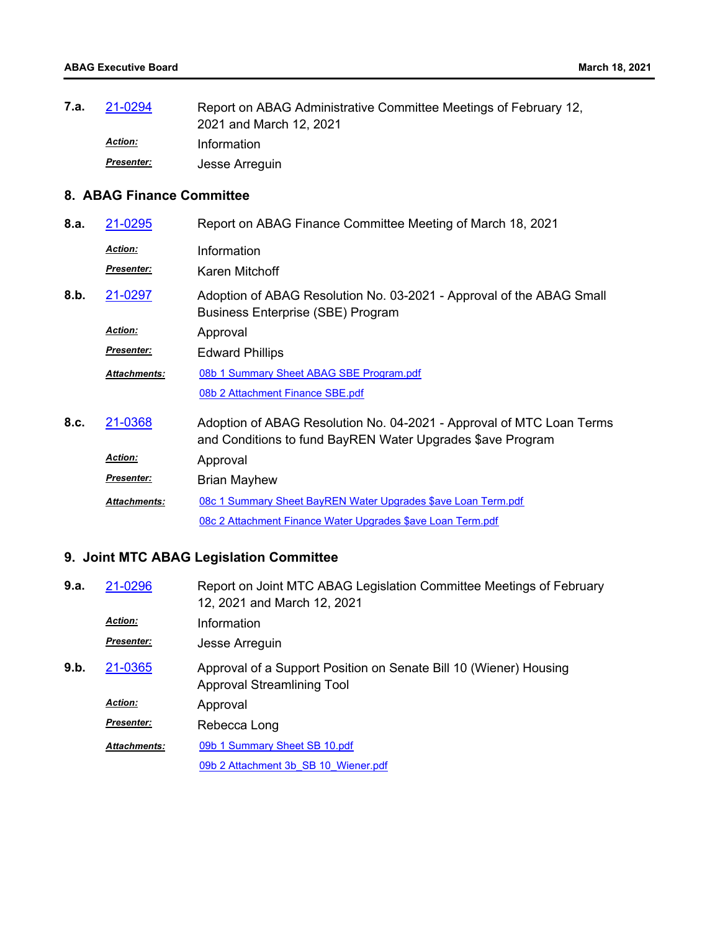| 7.a. | 21-0294           | Report on ABAG Administrative Committee Meetings of February 12, |
|------|-------------------|------------------------------------------------------------------|
|      |                   | 2021 and March 12, 2021                                          |
|      | <b>Action:</b>    | Information                                                      |
|      | <b>Presenter:</b> | Jesse Arreguin                                                   |

# **8. ABAG Finance Committee**

| 8.a. | 21-0295                      | Report on ABAG Finance Committee Meeting of March 18, 2021                                                                         |
|------|------------------------------|------------------------------------------------------------------------------------------------------------------------------------|
|      | <b>Action:</b><br>Presenter: | Information<br>Karen Mitchoff                                                                                                      |
| 8.b. | 21-0297                      | Adoption of ABAG Resolution No. 03-2021 - Approval of the ABAG Small<br>Business Enterprise (SBE) Program                          |
|      | <b>Action:</b>               | Approval                                                                                                                           |
|      | Presenter:                   | <b>Edward Phillips</b>                                                                                                             |
|      | <b>Attachments:</b>          | 08b 1 Summary Sheet ABAG SBE Program.pdf                                                                                           |
|      |                              | 08b 2 Attachment Finance SBE.pdf                                                                                                   |
| 8.c. | 21-0368                      | Adoption of ABAG Resolution No. 04-2021 - Approval of MTC Loan Terms<br>and Conditions to fund BayREN Water Upgrades \$ave Program |
|      | <b>Action:</b>               | Approval                                                                                                                           |
|      | <b>Presenter:</b>            | <b>Brian Mayhew</b>                                                                                                                |
|      | <b>Attachments:</b>          | 08c 1 Summary Sheet BayREN Water Upgrades \$ave Loan Term.pdf                                                                      |
|      |                              | 08c 2 Attachment Finance Water Upgrades \$ave Loan Term.pdf                                                                        |
|      |                              |                                                                                                                                    |

# **9. Joint MTC ABAG Legislation Committee**

| 9.a. | 21-0296             | Report on Joint MTC ABAG Legislation Committee Meetings of February<br>12, 2021 and March 12, 2021 |
|------|---------------------|----------------------------------------------------------------------------------------------------|
|      | <b>Action:</b>      | Information                                                                                        |
|      | <b>Presenter:</b>   | Jesse Arreguin                                                                                     |
| 9.b. | 21-0365             | Approval of a Support Position on Senate Bill 10 (Wiener) Housing<br>Approval Streamlining Tool    |
|      | <b>Action:</b>      | Approval                                                                                           |
|      | <b>Presenter:</b>   | Rebecca Long                                                                                       |
|      | <b>Attachments:</b> | 09b 1 Summary Sheet SB 10.pdf                                                                      |
|      |                     | 09b 2 Attachment 3b SB 10 Wiener.pdf                                                               |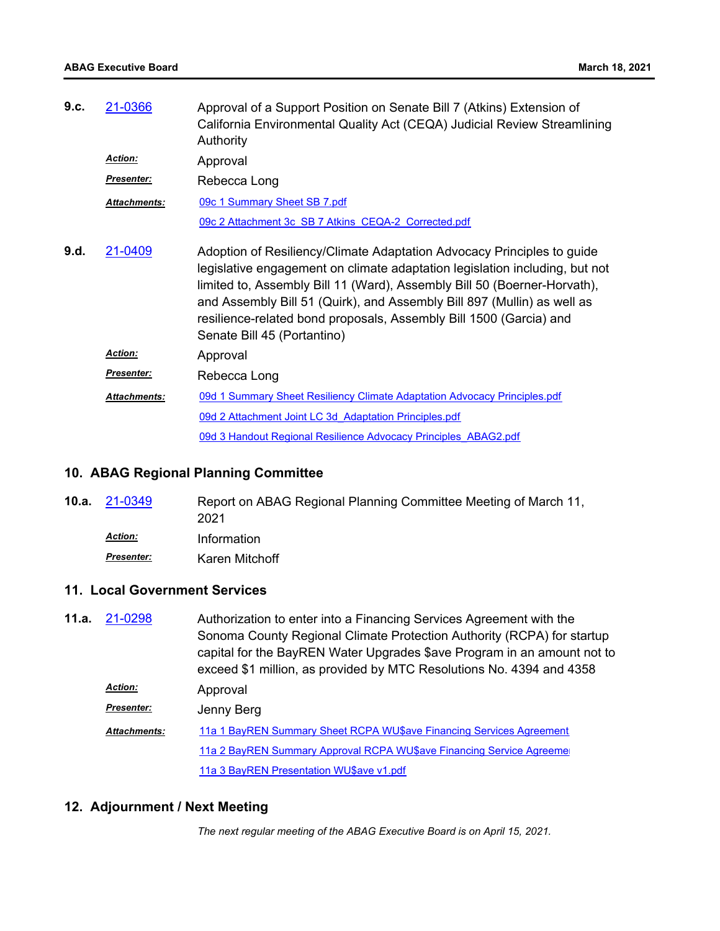| 9.c. | 21-0366             | Approval of a Support Position on Senate Bill 7 (Atkins) Extension of<br>California Environmental Quality Act (CEQA) Judicial Review Streamlining<br>Authority                                                                                                                                                                                                                                                    |
|------|---------------------|-------------------------------------------------------------------------------------------------------------------------------------------------------------------------------------------------------------------------------------------------------------------------------------------------------------------------------------------------------------------------------------------------------------------|
|      | <b>Action:</b>      | Approval                                                                                                                                                                                                                                                                                                                                                                                                          |
|      | <b>Presenter:</b>   | Rebecca Long                                                                                                                                                                                                                                                                                                                                                                                                      |
|      | <b>Attachments:</b> | 09c 1 Summary Sheet SB 7.pdf                                                                                                                                                                                                                                                                                                                                                                                      |
|      |                     | 09c 2 Attachment 3c SB 7 Atkins CEQA-2 Corrected.pdf                                                                                                                                                                                                                                                                                                                                                              |
| 9.d. | 21-0409             | Adoption of Resiliency/Climate Adaptation Advocacy Principles to guide<br>legislative engagement on climate adaptation legislation including, but not<br>limited to, Assembly Bill 11 (Ward), Assembly Bill 50 (Boerner-Horvath),<br>and Assembly Bill 51 (Quirk), and Assembly Bill 897 (Mullin) as well as<br>resilience-related bond proposals, Assembly Bill 1500 (Garcia) and<br>Senate Bill 45 (Portantino) |
|      | Action:             | Approval                                                                                                                                                                                                                                                                                                                                                                                                          |
|      | Presenter:          | Rebecca Long                                                                                                                                                                                                                                                                                                                                                                                                      |
|      | <b>Attachments:</b> | 09d 1 Summary Sheet Resiliency Climate Adaptation Advocacy Principles.pdf                                                                                                                                                                                                                                                                                                                                         |
|      |                     | 09d 2 Attachment Joint LC 3d Adaptation Principles.pdf                                                                                                                                                                                                                                                                                                                                                            |
|      |                     | 09d 3 Handout Regional Resilience Advocacy Principles ABAG2.pdf                                                                                                                                                                                                                                                                                                                                                   |

## **10. ABAG Regional Planning Committee**

| <b>10.a.</b> $21-0349$ | Report on ABAG Regional Planning Committee Meeting of March 11,<br>2021 |
|------------------------|-------------------------------------------------------------------------|
| <b>Action:</b>         | Information                                                             |
| <b>Presenter:</b>      | Karen Mitchoff                                                          |

## **11. Local Government Services**

Authorization to enter into a Financing Services Agreement with the Sonoma County Regional Climate Protection Authority (RCPA) for startup capital for the BayREN Water Upgrades \$ave Program in an amount not to exceed \$1 million, as provided by MTC Resolutions No. 4394 and 4358 **11.a.** [21-0298](http://mtc.legistar.com/gateway.aspx?m=l&id=/matter.aspx?key=21891) Approval *Action: Presenter:* Jenny Berg 11a 1 BayREN Summary Sheet RCPA WU\$ave Financing Services Agreement 11a 2 BayREN Summary Approval RCPA WU\$ave Financing Service Agreeme [11a 3 BayREN Presentation WU\\$ave v1.pdf](http://mtc.legistar.com/gateway.aspx?M=F&ID=df39e1d8-63a0-464b-ba4a-513abe8e8ff7.pdf) *Attachments:*

## **12. Adjournment / Next Meeting**

*The next regular meeting of the ABAG Executive Board is on April 15, 2021.*